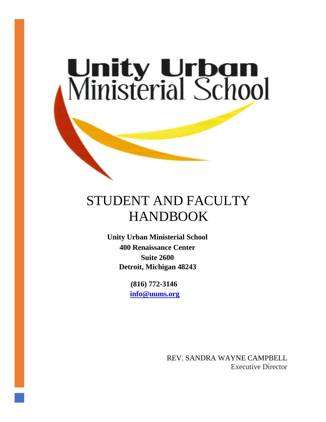# **Unity Urban<br>Ministerial School**

# STUDENT AND FACULTY HANDBOOK

**Unity Urban Ministerial School 400 Renaissance Center Suite 2600 Detroit, Michigan 48243**

> **(816) 772-3146 [info@uums.org](mailto:info@uums.org)**

> > REV. SANDRA WAYNE CAMPBELL Executive Director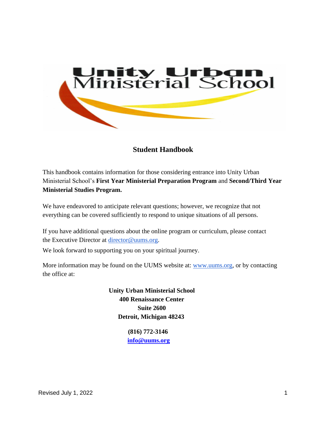

**Student Handbook**

This handbook contains information for those considering entrance into Unity Urban Ministerial School's **First Year Ministerial Preparation Program** and **Second/Third Year Ministerial Studies Program.**

We have endeavored to anticipate relevant questions; however, we recognize that not everything can be covered sufficiently to respond to unique situations of all persons.

If you have additional questions about the online program or curriculum, please contact the Executive Director at [director@uums.org.](mailto:director@uums.org)

We look forward to supporting you on your spiritual journey.

More information may be found on the UUMS website at: [www.uums.org,](http://www.uums.org/) or by contacting the office at:

> **Unity Urban Ministerial School 400 Renaissance Center Suite 2600 Detroit, Michigan 48243**

> > **(816) 772-3146 [info@uums.org](mailto:info@uums.org)**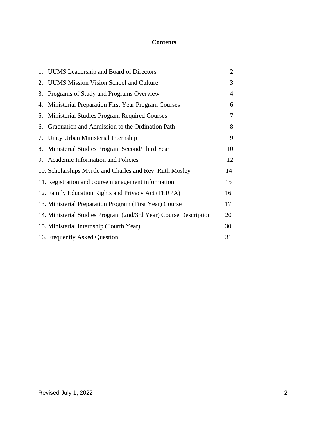### **Contents**

|    | 1. UUMS Leadership and Board of Directors                         | $\overline{2}$ |
|----|-------------------------------------------------------------------|----------------|
| 2. | <b>UUMS</b> Mission Vision School and Culture                     | 3              |
| 3. | Programs of Study and Programs Overview                           | $\overline{4}$ |
| 4. | Ministerial Preparation First Year Program Courses                | 6              |
| 5. | Ministerial Studies Program Required Courses                      | 7              |
| 6. | Graduation and Admission to the Ordination Path                   | 8              |
| 7. | Unity Urban Ministerial Internship                                | 9              |
| 8. | Ministerial Studies Program Second/Third Year                     | 10             |
|    | 9. Academic Information and Policies                              | 12             |
|    | 10. Scholarships Myrtle and Charles and Rev. Ruth Mosley          | 14             |
|    | 11. Registration and course management information                | 15             |
|    | 12. Family Education Rights and Privacy Act (FERPA)               | 16             |
|    | 13. Ministerial Preparation Program (First Year) Course           | 17             |
|    | 14. Ministerial Studies Program (2nd/3rd Year) Course Description | 20             |
|    | 15. Ministerial Internship (Fourth Year)                          | 30             |
|    | 16. Frequently Asked Question                                     | 31             |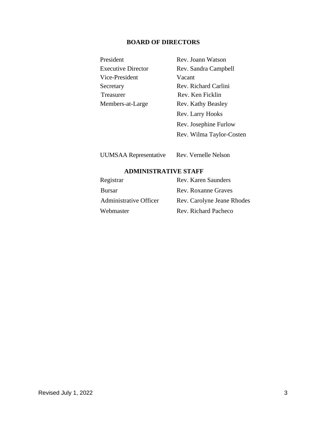### **BOARD OF DIRECTORS**

| President                 | Rev. Joann Watson     |
|---------------------------|-----------------------|
| <b>Executive Director</b> | Rev. Sandra Campbell  |
| Vice-President            | Vacant                |
| Secretary                 | Rev. Richard Carlini  |
| <b>Treasurer</b>          | Rev. Ken Ficklin      |
| Members-at-Large          | Rev. Kathy Beasley    |
|                           | Rev. Larry Hooks      |
|                           | Rev. Josephine Furlow |
|                           |                       |

Rev. Wilma Taylor-Costen

UUMSAA Representative Rev. Vernelle Nelson

### **ADMINISTRATIVE STAFF**

| Registrar              | Rev. Karen Saunders        |
|------------------------|----------------------------|
| <b>Bursar</b>          | Rev. Roxanne Graves        |
| Administrative Officer | Rev. Carolyne Jeane Rhodes |
| Webmaster              | Rev. Richard Pacheco       |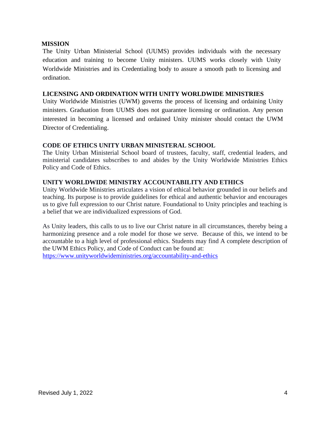#### **MISSION**

The Unity Urban Ministerial School (UUMS) provides individuals with the necessary education and training to become Unity ministers. UUMS works closely with Unity Worldwide Ministries and its Credentialing body to assure a smooth path to licensing and ordination.

#### **LICENSING AND ORDINATION WITH UNITY WORLDWIDE MINISTRIES**

Unity Worldwide Ministries (UWM) governs the process of licensing and ordaining Unity ministers. Graduation from UUMS does not guarantee licensing or ordination. Any person interested in becoming a licensed and ordained Unity minister should contact the UWM Director of Credentialing.

#### **CODE OF ETHICS UNITY URBAN MINISTERAL SCHOOL**

The Unity Urban Ministerial School board of trustees, faculty, staff, credential leaders, and ministerial candidates subscribes to and abides by the Unity Worldwide Ministries Ethics Policy and Code of Ethics.

### **UNITY WORLDWIDE MINISTRY ACCOUNTABILITY AND ETHICS**

Unity Worldwide Ministries articulates a vision of ethical behavior grounded in our beliefs and teaching. Its purpose is to provide guidelines for ethical and authentic behavior and encourages us to give full expression to our Christ nature. Foundational to Unity principles and teaching is a belief that we are individualized expressions of God.

As Unity leaders, this calls to us to live our Christ nature in all circumstances, thereby being a harmonizing presence and a role model for those we serve. Because of this, we intend to be accountable to a high level of professional ethics. Students may find A complete description of the UWM Ethics Policy, and Code of Conduct can be found at: <https://www.unityworldwideministries.org/accountability-and-ethics>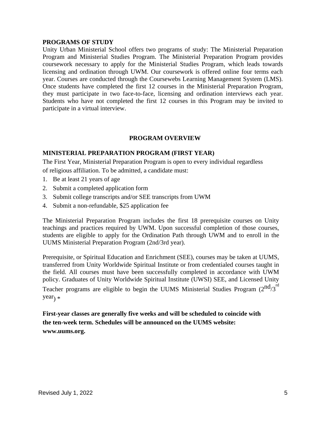#### **PROGRAMS OF STUDY**

Unity Urban Ministerial School offers two programs of study: The Ministerial Preparation Program and Ministerial Studies Program. The Ministerial Preparation Program provides coursework necessary to apply for the Ministerial Studies Program, which leads towards licensing and ordination through UWM. Our coursework is offered online four terms each year. Courses are conducted through the Coursewebs Learning Management System (LMS). Once students have completed the first 12 courses in the Ministerial Preparation Program, they must participate in two face-to-face, licensing and ordination interviews each year. Students who have not completed the first 12 courses in this Program may be invited to participate in a virtual interview.

#### **PROGRAM OVERVIEW**

#### **MINISTERIAL PREPARATION PROGRAM (FIRST YEAR)**

The First Year, Ministerial Preparation Program is open to every individual regardless of religious affiliation. To be admitted, a candidate must:

- 1. Be at least 21 years of age
- 2. Submit a completed application form
- 3. Submit college transcripts and/or SEE transcripts from UWM
- 4. Submit a non-refundable, \$25 application fee

The Ministerial Preparation Program includes the first 18 prerequisite courses on Unity teachings and practices required by UWM. Upon successful completion of those courses, students are eligible to apply for the Ordination Path through UWM and to enroll in the UUMS Ministerial Preparation Program (2nd/3rd year).

Prerequisite, or Spiritual Education and Enrichment (SEE), courses may be taken at UUMS, transferred from Unity Worldwide Spiritual Institute or from credentialed courses taught in the field. All courses must have been successfully completed in accordance with UWM policy. Graduates of Unity Worldwide Spiritual Institute (UWSI) SEE, and Licensed Unity Teacher programs are eligible to begin the UUMS Ministerial Studies Program (2 $\mathrm{nd}_{3}^{\mathrm{rd}}$ 

 $year<sub>1</sub> *$ 

**First-year classes are generally five weeks and will be scheduled to coincide with the [ten-week term. Schedules will be announced on the UUMS website:](http://www.uums.org/)  [www.uums.org.](http://www.uums.org/)**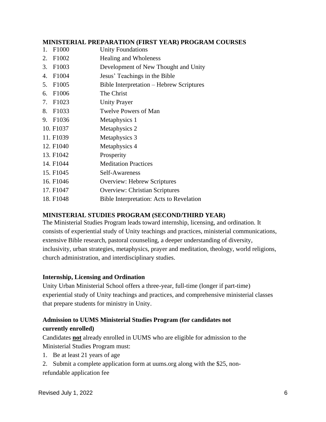#### **MINISTERIAL PREPARATION (FIRST YEAR) PROGRAM COURSES**

- 1. F1000 Unity Foundations
- 2. F1002 Healing and Wholeness
- 3. F1003 Development of New Thought and Unity
- 4. F1004 Jesus' Teachings in the Bible
- 5. F1005 Bible Interpretation Hebrew Scriptures
- 6. F1006 The Christ
- 7. F1023 Unity Prayer
- 8. F1033 Twelve Powers of Man
- 9. F1036 Metaphysics 1
- 10. F1037 Metaphysics 2
- 11. F1039 Metaphysics 3
- 12. F1040 Metaphysics 4
- 13. F1042 Prosperity
- 14. F1044 Meditation Practices
- 15. F1045 Self-Awareness
- 16. F1046 Overview: Hebrew Scriptures
- 17. F1047 Overview: Christian Scriptures
- 18. F1048 Bible Interpretation: Acts to Revelation

### **MINISTERIAL STUDIES PROGRAM (SECOND/THIRD YEAR)**

The Ministerial Studies Program leads toward internship, licensing, and ordination. It consists of experiential study of Unity teachings and practices, ministerial communications, extensive Bible research, pastoral counseling, a deeper understanding of diversity, inclusivity, urban strategies, metaphysics, prayer and meditation, theology, world religions, church administration, and interdisciplinary studies.

#### **Internship, Licensing and Ordination**

Unity Urban Ministerial School offers a three-year, full-time (longer if part-time) experiential study of Unity teachings and practices, and comprehensive ministerial classes that prepare students for ministry in Unity.

### **Admission to UUMS Ministerial Studies Program (for candidates not currently enrolled)**

Candidates **not** already enrolled in UUMS who are eligible for admission to the Ministerial Studies Program must:

- 1. Be at least 21 years of age
- 2. Submit a complete application form at uums.org along with the \$25, nonrefundable application fee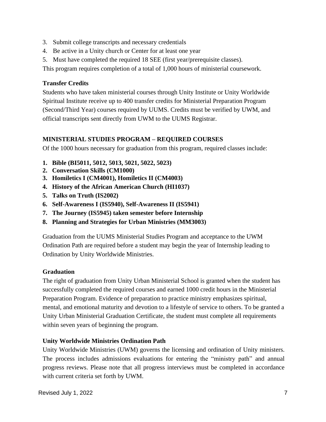- 3. Submit college transcripts and necessary credentials
- 4. Be active in a Unity church or Center for at least one year
- 5. Must have completed the required 18 SEE (first year/prerequisite classes).

This program requires completion of a total of 1,000 hours of ministerial coursework.

### **Transfer Credits**

Students who have taken ministerial courses through Unity Institute or Unity Worldwide Spiritual Institute receive up to 400 transfer credits for Ministerial Preparation Program (Second/Third Year) courses required by UUMS. Credits must be verified by UWM, and official transcripts sent directly from UWM to the UUMS Registrar.

### **MINISTERIAL STUDIES PROGRAM – REQUIRED COURSES**

Of the 1000 hours necessary for graduation from this program, required classes include:

- **1. Bible (BI5011, 5012, 5013, 5021, 5022, 5023)**
- **2. Conversation Skills (CM1000)**
- **3. Homiletics I (CM4001), Homiletics II (CM4003)**
- **4. History of the African American Church (HI1037)**
- **5. Talks on Truth (IS2002)**
- **6. Self-Awareness I (IS5940), Self-Awareness II (IS5941)**
- **7. The Journey (IS5945) taken semester before Internship**
- **8. Planning and Strategies for Urban Ministries (MM3003)**

Graduation from the UUMS Ministerial Studies Program and acceptance to the UWM Ordination Path are required before a student may begin the year of Internship leading to Ordination by Unity Worldwide Ministries.

### **Graduation**

The right of graduation from Unity Urban Ministerial School is granted when the student has successfully completed the required courses and earned 1000 credit hours in the Ministerial Preparation Program. Evidence of preparation to practice ministry emphasizes spiritual, mental, and emotional maturity and devotion to a lifestyle of service to others. To be granted a Unity Urban Ministerial Graduation Certificate, the student must complete all requirements within seven years of beginning the program.

### **Unity Worldwide Ministries Ordination Path**

Unity Worldwide Ministries (UWM) governs the licensing and ordination of Unity ministers. The process includes admissions evaluations for entering the "ministry path" and annual progress reviews. Please note that all progress interviews must be completed in accordance with current criteria set forth by UWM.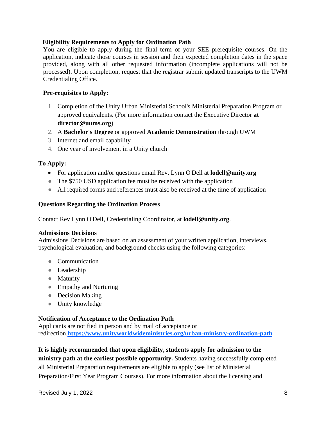#### **Eligibility Requirements to Apply for Ordination Path**

You are eligible to apply during the final term of your SEE prerequisite courses. On the application, indicate those courses in session and their expected completion dates in the space provided, along with all other requested information (incomplete applications will not be processed). Upon completion, request that the registrar submit updated transcripts to the UWM Credentialing Office.

#### **Pre-requisites to Apply:**

- 1. Completion of the Unity Urban Ministerial School's Ministerial Preparation Program or approved equivalents. (For more information contact the Executive Director **at director@uums.org**)
- 2. A **Bachelor's Degree** or approved **[Academic Demonstration](https://www.unityworldwideministries.org/academic-demonstration)** through UWM
- 3. Internet and email capability
- 4. One year of involvement in a Unity church

#### **To Apply:**

- For application and/or questions email Rev. Lynn O'Dell at **lodell@unity.org**
- The \$750 USD application fee must be received with the application
- All required forms and references must also be received at the time of application

#### **Questions Regarding the Ordination Process**

Contact Rev Lynn O'Dell, Credentialing Coordinator, at **lodell@unity.org**.

#### **Admissions Decisions**

Admissions Decisions are based on an assessment of your written application, interviews, psychological evaluation, and background checks using the following categories:

- Communication
- Leadership
- Maturity
- Empathy and Nurturing
- Decision Making
- Unity knowledge

#### **Notification of Acceptance to the Ordination Path**

Applicants are notified in person and by mail of acceptance or redirection.**<https://www.unityworldwideministries.org/urban-ministry-ordination-path>**

#### **It is highly recommended that upon eligibility, students apply for admission to the**

**ministry path at the earliest possible opportunity.** Students having successfully completed all Ministerial Preparation requirements are eligible to apply (see list of Ministerial Preparation/First Year Program Courses). For more information about the licensing and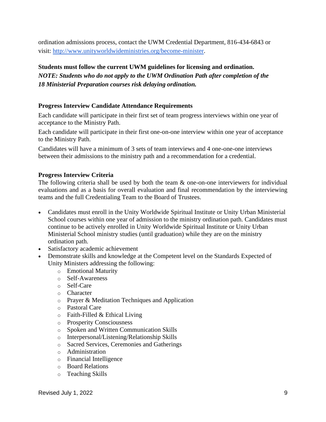ordination admissions process, contact the UWM Credential Department, 816-434-6843 or visit: [http://www.unityworldwideministries.org/become-minister.](http://www.unityworldwideministries.org/become-minister)

### **Students must follow the current UWM guidelines for licensing and ordination.** *NOTE: Students who do not apply to the UWM Ordination Path after completion of the 18 Ministerial Preparation courses risk delaying ordination.*

#### **Progress Interview Candidate Attendance Requirements**

Each candidate will participate in their first set of team progress interviews within one year of acceptance to the Ministry Path.

Each candidate will participate in their first one-on-one interview within one year of acceptance to the Ministry Path.

Candidates will have a minimum of 3 sets of team interviews and 4 one-one-one interviews between their admissions to the ministry path and a recommendation for a credential.

#### **Progress Interview Criteria**

The following criteria shall be used by both the team  $\&$  one-on-one interviewers for individual evaluations and as a basis for overall evaluation and final recommendation by the interviewing teams and the full Credentialing Team to the Board of Trustees.

- Candidates must enroll in the Unity Worldwide Spiritual Institute or Unity Urban Ministerial School courses within one year of admission to the ministry ordination path. Candidates must continue to be actively enrolled in Unity Worldwide Spiritual Institute or Unity Urban Ministerial School ministry studies (until graduation) while they are on the ministry ordination path.
- Satisfactory academic achievement
- Demonstrate skills and knowledge at the Competent level on the Standards Expected of Unity Ministers addressing the following:
	- o Emotional Maturity
	- o Self-Awareness
	- o Self-Care
	- o Character
	- o Prayer & Meditation Techniques and Application
	- o Pastoral Care
	- $\circ$  Faith-Filled & Ethical Living
	- o Prosperity Consciousness
	- o Spoken and Written Communication Skills
	- o Interpersonal/Listening/Relationship Skills
	- o Sacred Services, Ceremonies and Gatherings
	- o Administration
	- o Financial Intelligence
	- o Board Relations
	- o Teaching Skills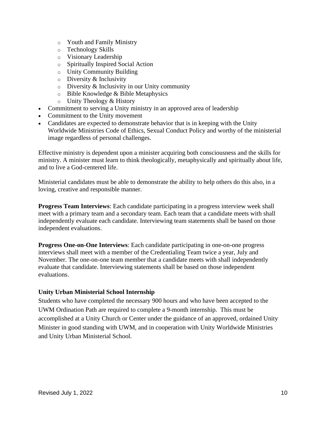- o Youth and Family Ministry
- o Technology Skills
- o Visionary Leadership
- o Spiritually Inspired Social Action
- o Unity Community Building
- o Diversity & Inclusivity
- $\circ$  Diversity & Inclusivity in our Unity community
- o Bible Knowledge & Bible Metaphysics
- o Unity Theology & History
- Commitment to serving a Unity ministry in an approved area of leadership
- Commitment to the Unity movement
- Candidates are expected to demonstrate behavior that is in keeping with the Unity Worldwide Ministries Code of Ethics, Sexual Conduct Policy and worthy of the ministerial image regardless of personal challenges.

Effective ministry is dependent upon a minister acquiring both consciousness and the skills for ministry. A minister must learn to think theologically, metaphysically and spiritually about life, and to live a God-centered life.

Ministerial candidates must be able to demonstrate the ability to help others do this also, in a loving, creative and responsible manner.

**Progress Team Interviews**: Each candidate participating in a progress interview week shall meet with a primary team and a secondary team. Each team that a candidate meets with shall independently evaluate each candidate. Interviewing team statements shall be based on those independent evaluations.

**Progress One-on-One Interviews**: Each candidate participating in one-on-one progress interviews shall meet with a member of the Credentialing Team twice a year, July and November. The one-on-one team member that a candidate meets with shall independently evaluate that candidate. Interviewing statements shall be based on those independent evaluations.

### **Unity Urban Ministerial School Internship**

Students who have completed the necessary 900 hours and who have been accepted to the UWM Ordination Path are required to complete a 9-month internship. This must be accomplished at a Unity Church or Center under the guidance of an approved, ordained Unity Minister in good standing with UWM, and in cooperation with Unity Worldwide Ministries and Unity Urban Ministerial School.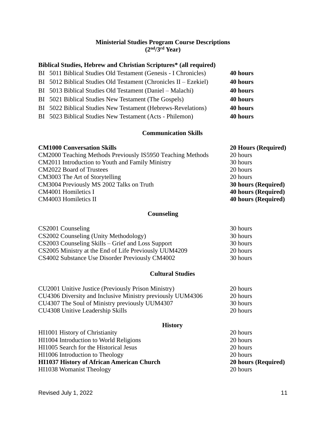#### **Ministerial Studies Program Course Descriptions (2 nd/3rd Year)**

### **Biblical Studies, Hebrew and Christian Scriptures\* (all required)**

| BI 5011 Biblical Studies Old Testament (Genesis - I Chronicles)  | 40 hours |
|------------------------------------------------------------------|----------|
| BI 5012 Biblical Studies Old Testament (Chronicles II – Ezekiel) | 40 hours |
| BI 5013 Biblical Studies Old Testament (Daniel – Malachi)        | 40 hours |
| BI 5021 Biblical Studies New Testament (The Gospels)             | 40 hours |
| BI 5022 Biblical Studies New Testament (Hebrews-Revelations)     | 40 hours |
| BI 5023 Biblical Studies New Testament (Acts - Philemon)         | 40 hours |

### **Communication Skills**

### **CM1000 Conversation Skills 20 Hours (Required)**

| CM2000 Teaching Methods Previously IS5950 Teaching Methods | 20 hours                   |
|------------------------------------------------------------|----------------------------|
| CM2011 Introduction to Youth and Family Ministry           | 30 hours                   |
| <b>CM2022 Board of Trustees</b>                            | 20 hours                   |
| CM3003 The Art of Storytelling                             | 20 hours                   |
| CM3004 Previously MS 2002 Talks on Truth                   | <b>30 hours (Required)</b> |
| CM4001 Homiletics I                                        | 40 hours (Required)        |
| CM4003 Homiletics II                                       | <b>40 hours (Required)</b> |
|                                                            |                            |

### **Counseling**

| CS2001 Counseling                                     | 30 hours |
|-------------------------------------------------------|----------|
| CS2002 Counseling (Unity Methodology)                 | 30 hours |
| CS2003 Counseling Skills – Grief and Loss Support     | 30 hours |
| CS2005 Ministry at the End of Life Previously UUM4209 | 20 hours |
| CS4002 Substance Use Disorder Previously CM4002       | 30 hours |

### **Cultural Studies**

| CU2001 Unitive Justice (Previously Prison Ministry)        | 20 hours |
|------------------------------------------------------------|----------|
| CU4306 Diversity and Inclusive Ministry previously UUM4306 | 20 hours |
| CU4307 The Soul of Ministry previously UUM4307             | 30 hours |
| CU4308 Unitive Leadership Skills                           | 20 hours |

### **History**

| HI1001 History of Christianity                   | 20 hours            |
|--------------------------------------------------|---------------------|
| HI1004 Introduction to World Religions           | 20 hours            |
| HI1005 Search for the Historical Jesus           | 20 hours            |
| HI1006 Introduction to Theology                  | 20 hours            |
| <b>HI1037 History of African American Church</b> | 20 hours (Required) |
| <b>HI1038 Womanist Theology</b>                  | 20 hours            |
|                                                  |                     |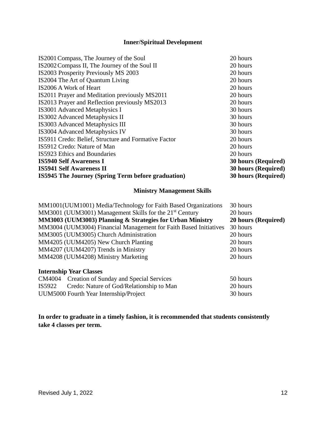### **Inner/Spiritual Development**

| IS2001 Compass, The Journey of the Soul                   | 20 hours                   |
|-----------------------------------------------------------|----------------------------|
| IS2002 Compass II, The Journey of the Soul II             | 20 hours                   |
| IS2003 Prosperity Previously MS 2003                      | 20 hours                   |
| IS2004 The Art of Quantum Living                          | 20 hours                   |
| IS2006 A Work of Heart                                    | 20 hours                   |
| IS2011 Prayer and Meditation previously MS2011            | 20 hours                   |
| IS2013 Prayer and Reflection previously MS2013            | 20 hours                   |
| IS3001 Advanced Metaphysics I                             | 30 hours                   |
| IS3002 Advanced Metaphysics II                            | 30 hours                   |
| IS3003 Advanced Metaphysics III                           | 30 hours                   |
| IS3004 Advanced Metaphysics IV                            | 30 hours                   |
| IS5911 Credo: Belief, Structure and Formative Factor      | 20 hours                   |
| IS5912 Credo: Nature of Man                               | 20 hours                   |
| IS5923 Ethics and Boundaries                              | 20 hours                   |
| <b>IS5940 Self Awareness I</b>                            | <b>30 hours (Required)</b> |
| <b>IS5941 Self Awareness II</b>                           | <b>30 hours (Required)</b> |
| <b>IS5945 The Journey (Spring Term before graduation)</b> | <b>30 hours (Required)</b> |

#### **Ministry Management Skills**

| MM1001(UUM1001) Media/Technology for Faith Based Organizations      | 30 hours            |
|---------------------------------------------------------------------|---------------------|
| MM3001 (UUM3001) Management Skills for the 21 <sup>st</sup> Century | 20 hours            |
| MM3003 (UUM3003) Planning & Strategies for Urban Ministry           | 20 hours (Required) |
| MM3004 (UUM3004) Financial Management for Faith Based Initiatives   | 30 hours            |
| MM3005 (UUM3005) Church Administration                              | 20 hours            |
| MM4205 (UUM4205) New Church Planting                                | 20 hours            |
| MM4207 (UUM4207) Trends in Ministry                                 | 20 hours            |
| MM4208 (UUM4208) Ministry Marketing                                 | 20 hours            |
| <b>Internship Year Classes</b>                                      |                     |
| CM4004 Creation of Sunday and Special Services                      | 50 hours            |
| Credo: Nature of God/Relationship to Man<br>IS5922                  | 20 hours            |
| UUM5000 Fourth Year Internship/Project                              | 30 hours            |

**In order to graduate in a timely fashion, it is recommended that students consistently take 4 classes per term.**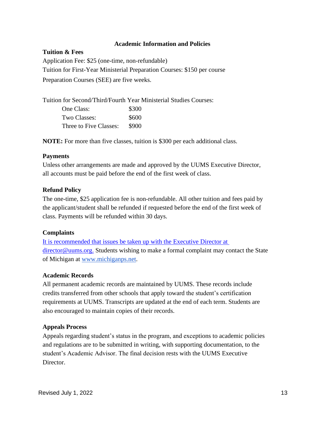#### **Academic Information and Policies**

**Tuition & Fees** Application Fee: \$25 (one-time, non-refundable) Tuition for First-Year Ministerial Preparation Courses: \$150 per course Preparation Courses (SEE) are five weeks.

Tuition for Second/Third/Fourth Year Ministerial Studies Courses: One Class: \$300 Two Classes:  $$600$ Three to Five Classes: \$900

**NOTE:** For more than five classes, tuition is \$300 per each additional class.

#### **Payments**

Unless other arrangements are made and approved by the UUMS Executive Director, all accounts must be paid before the end of the first week of class.

#### **Refund Policy**

The one-time, \$25 application fee is non-refundable. All other tuition and fees paid by the applicant/student shall be refunded if requested before the end of the first week of class. Payments will be refunded within 30 days.

### **Complaints**

[It is recommended that issues be taken up with the Executive Director at](mailto:It%20is%20recommended%20that%20issues%20be%20taken%20up%20with%20the%20Executive%20Director%20at%20director@uums.org.)  [director@uums.org.](mailto:It%20is%20recommended%20that%20issues%20be%20taken%20up%20with%20the%20Executive%20Director%20at%20director@uums.org.) Students wishing to make a formal complaint may contact the State of Michigan at [www.michiganps.net.](http://www.michiganps.net/)

### **Academic Records**

All permanent academic records are maintained by UUMS. These records include credits transferred from other schools that apply toward the student's certification requirements at UUMS. Transcripts are updated at the end of each term. Students are also encouraged to maintain copies of their records.

#### **Appeals Process**

Appeals regarding student's status in the program, and exceptions to academic policies and regulations are to be submitted in writing, with supporting documentation, to the student's Academic Advisor. The final decision rests with the UUMS Executive Director.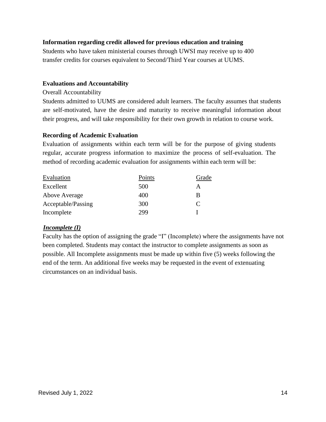#### **Information regarding credit allowed for previous education and training**

Students who have taken ministerial courses through UWSI may receive up to 400 transfer credits for courses equivalent to Second/Third Year courses at UUMS.

#### **Evaluations and Accountability**

#### Overall Accountability

Students admitted to UUMS are considered adult learners. The faculty assumes that students are self-motivated, have the desire and maturity to receive meaningful information about their progress, and will take responsibility for their own growth in relation to course work.

#### **Recording of Academic Evaluation**

Evaluation of assignments within each term will be for the purpose of giving students regular, accurate progress information to maximize the process of self-evaluation. The method of recording academic evaluation for assignments within each term will be:

| Points | Grade                       |
|--------|-----------------------------|
| 500    | А                           |
| 400    | B                           |
| 300    | $\mathcal{C}_{\mathcal{C}}$ |
| 299    |                             |
|        |                             |

### *Incomplete (I)*

Faculty has the option of assigning the grade "I" (Incomplete) where the assignments have not been completed. Students may contact the instructor to complete assignments as soon as possible. All Incomplete assignments must be made up within five (5) weeks following the end of the term. An additional five weeks may be requested in the event of extenuating circumstances on an individual basis.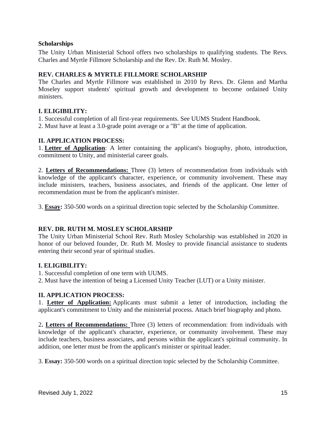#### **Scholarships**

The Unity Urban Ministerial School offers two scholarships to qualifying students. The Revs. Charles and Myrtle Fillmore Scholarship and the Rev. Dr. Ruth M. Mosley.

#### **REV. CHARLES & MYRTLE FILLMORE SCHOLARSHIP**

The Charles and Myrtle Fillmore was established in 2010 by Revs. Dr. Glenn and Martha Moseley support students' spiritual growth and development to become ordained Unity ministers.

### **I. ELIGIBILITY:**

- 1. Successful completion of all first-year requirements. See UUMS Student Handbook.
- 2. Must have at least a 3.0-grade point average or a "B" at the time of application.

#### **II. APPLICATION PROCESS:**

1. **Letter of Application**: A letter containing the applicant's biography, photo, introduction, commitment to Unity, and ministerial career goals.

2. **Letters of Recommendations:** Three (3) letters of recommendation from individuals with knowledge of the applicant's character, experience, or community involvement. These may include ministers, teachers, business associates, and friends of the applicant. One letter of recommendation must be from the applicant's minister.

3. **Essay:** 350-500 words on a spiritual direction topic selected by the Scholarship Committee.

#### **REV. DR. RUTH M. MOSLEY SCHOLARSHIP**

The Unity Urban Ministerial School Rev. Ruth Mosley Scholarship was established in 2020 in honor of our beloved founder, Dr. Ruth M. Mosley to provide financial assistance to students entering their second year of spiritual studies.

#### **I. ELIGIBILITY:**

1. Successful completion of one term with UUMS.

2. Must have the intention of being a Licensed Unity Teacher (LUT) or a Unity minister.

### **II. APPLICATION PROCESS:**

1. **Letter of Application:** Applicants must submit a letter of introduction, including the applicant's commitment to Unity and the ministerial process. Attach brief biography and photo.

2**. Letters of Recommendations:** Three (3) letters of recommendation: from individuals with knowledge of the applicant's character, experience, or community involvement. These may include teachers, business associates, and persons within the applicant's spiritual community. In addition, one letter must be from the applicant's minister or spiritual leader.

3. **Essay:** 350-500 words on a spiritual direction topic selected by the Scholarship Committee.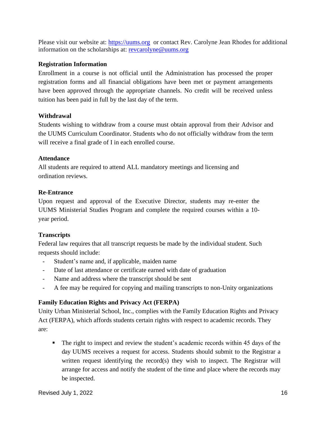Please visit our website at: [https://uums.org](https://uums.org/) or contact Rev. Carolyne Jean Rhodes for additional information on the scholarships at: [revcarolyne@uums.org](mailto:revcarolyne@uums.org)

### **Registration Information**

Enrollment in a course is not official until the Administration has processed the proper registration forms and all financial obligations have been met or payment arrangements have been approved through the appropriate channels. No credit will be received unless tuition has been paid in full by the last day of the term.

### **Withdrawal**

Students wishing to withdraw from a course must obtain approval from their Advisor and the UUMS Curriculum Coordinator. Students who do not officially withdraw from the term will receive a final grade of I in each enrolled course.

### **Attendance**

All students are required to attend ALL mandatory meetings and licensing and ordination reviews.

### **Re-Entrance**

Upon request and approval of the Executive Director, students may re-enter the UUMS Ministerial Studies Program and complete the required courses within a 10 year period.

### **Transcripts**

Federal law requires that all transcript requests be made by the individual student. Such requests should include:

- Student's name and, if applicable, maiden name
- Date of last attendance or certificate earned with date of graduation
- Name and address where the transcript should be sent
- A fee may be required for copying and mailing transcripts to non-Unity organizations

### **Family Education Rights and Privacy Act (FERPA)**

Unity Urban Ministerial School, Inc., complies with the Family Education Rights and Privacy Act (FERPA), which affords students certain rights with respect to academic records. They are:

■ The right to inspect and review the student's academic records within 45 days of the day UUMS receives a request for access. Students should submit to the Registrar a written request identifying the record(s) they wish to inspect. The Registrar will arrange for access and notify the student of the time and place where the records may be inspected.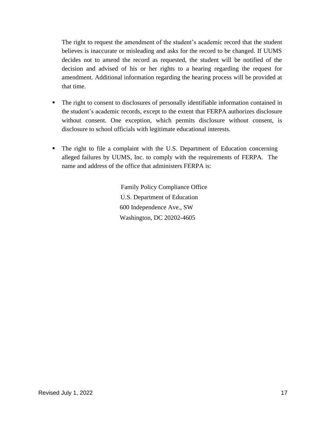The right to request the amendment of the student's academic record that the student believes is inaccurate or misleading and asks for the record to be changed. If UUMS decides not to amend the record as requested, the student will be notified of the decision and advised of his or her rights to a hearing regarding the request for amendment. Additional information regarding the hearing process will be provided at that time.

- The right to consent to disclosures of personally identifiable information contained in the student's academic records, except to the extent that FERPA authorizes disclosure without consent. One exception, which permits disclosure without consent, is disclosure to school officials with legitimate educational interests.
- The right to file a complaint with the U.S. Department of Education concerning alleged failures by UUMS, Inc. to comply with the requirements of FERPA. The name and address of the office that administers FERPA is:

 Family Policy Compliance Office U.S. Department of Education 600 Independence Ave., SW Washington, DC 20202-4605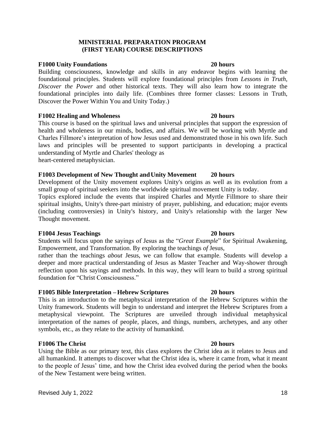#### **MINISTERIAL PREPARATION PROGRAM (FIRST YEAR) COURSE DESCRIPTIONS**

#### **F1000 Unity Foundations 20 hours**

Building consciousness, knowledge and skills in any endeavor begins with learning the foundational principles. Students will explore foundational principles from *Lessons in Truth*, *Discover the Power* and other historical texts. They will also learn how to integrate the foundational principles into daily life. (Combines three former classes: Lessons in Truth, Discover the Power Within You and Unity Today.)

#### **F1002 Healing and Wholeness 20 hours**

This course is based on the spiritual laws and universal principles that support the expression of health and wholeness in our minds, bodies, and affairs. We will be working with Myrtle and Charles Fillmore's interpretation of how Jesus used and demonstrated those in his own life. Such laws and principles will be presented to support participants in developing a practical understanding of Myrtle and Charles' theology as heart-centered metaphysician.

#### **F1003 Development of New Thought andUnity Movement 20 hours**

Development of the Unity movement explores Unity's origins as well as its evolution from a small group of spiritual seekers into the worldwide spiritual movement Unity is today.

Topics explored include the events that inspired Charles and Myrtle Fillmore to share their spiritual insights, Unity's three-part ministry of prayer, publishing, and education; major events (including controversies) in Unity's history, and Unity's relationship with the larger New Thought movement.

#### **F1004 Jesus Teachings 20 hours**

Students will focus upon the sayings of Jesus as the "*Great Example*" for Spiritual Awakening, Empowerment, and Transformation. By exploring the teachings *of* Jesus,

rather than the teachings *about* Jesus, we can follow that example. Students will develop a deeper and more practical understanding of Jesus as Master Teacher and Way-shower through reflection upon his sayings and methods. In this way, they will learn to build a strong spiritual foundation for "Christ Consciousness."

#### **F1005 Bible Interpretation –Hebrew Scriptures 20 hours**

This is an introduction to the metaphysical interpretation of the Hebrew Scriptures within the Unity framework. Students will begin to understand and interpret the Hebrew Scriptures from a metaphysical viewpoint. The Scriptures are unveiled through individual metaphysical interpretation of the names of people, places, and things, numbers, archetypes, and any other symbols, etc., as they relate to the activity of humankind.

#### **F1006 The Christ 20 hours**

Using the Bible as our primary text, this class explores the Christ idea as it relates to Jesus and all humankind. It attempts to discover what the Christ idea is, where it came from, what it meant to the people of Jesus' time, and how the Christ idea evolved during the period when the books of the New Testament were being written.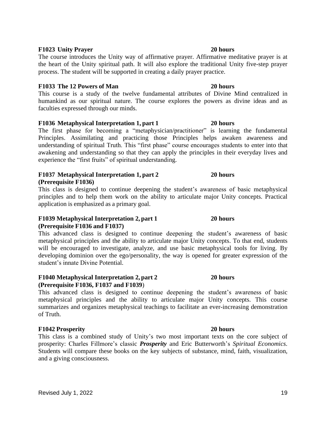#### **F1023 Unity Prayer 20 hours**

The course introduces the Unity way of affirmative prayer. Affirmative meditative prayer is at the heart of the Unity spiritual path. It will also explore the traditional Unity five-step prayer process. The student will be supported in creating a daily prayer practice.

#### **F1033 The 12 Powers of Man 20 hours**

This course is a study of the twelve fundamental attributes of Divine Mind centralized in humankind as our spiritual nature. The course explores the powers as divine ideas and as faculties expressed through our minds.

#### **F1036 Metaphysical Interpretation 1, part 1 20 hours**

The first phase for becoming a "metaphysician/practitioner" is learning the fundamental Principles. Assimilating and practicing those Principles helps awaken awareness and understanding of spiritual Truth. This "first phase" course encourages students to enter into that awakening and understanding so that they can apply the principles in their everyday lives and experience the "first fruits" of spiritual understanding.

#### **F1037 Metaphysical Interpretation 1, part 2 20 hours (Prerequisite F1036)**

This class is designed to continue deepening the student's awareness of basic metaphysical principles and to help them work on the ability to articulate major Unity concepts. Practical application is emphasized as a primary goal.

#### **F1039 Metaphysical Interpretation 2, part 1 20 hours (Prerequisite F1036 and F1037)**

This advanced class is designed to continue deepening the student's awareness of basic metaphysical principles and the ability to articulate major Unity concepts. To that end, students will be encouraged to investigate, analyze, and use basic metaphysical tools for living. By developing dominion over the ego/personality, the way is opened for greater expression of the student's innate Divine Potential.

#### **F1040 Metaphysical Interpretation 2, part 2 20 hours (Prerequisite F1036, F1037 and F1039**)

This advanced class is designed to continue deepening the student's awareness of basic metaphysical principles and the ability to articulate major Unity concepts. This course summarizes and organizes metaphysical teachings to facilitate an ever-increasing demonstration of Truth.

#### **F1042 Prosperity 20 hours**

This class is a combined study of Unity's two most important texts on the core subject of prosperity: Charles Fillmore's classic *Prosperity* and Eric Butterworth's *Spiritual Economics*. Students will compare these books on the key subjects of substance, mind, faith, visualization, and a giving consciousness.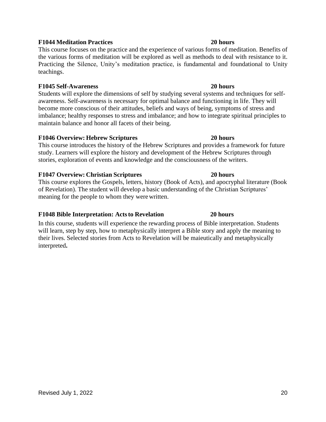#### **F1044 Meditation Practices 20 hours**

This course focuses on the practice and the experience of various forms of meditation. Benefits of the various forms of meditation will be explored as well as methods to deal with resistance to it. Practicing the Silence, Unity's meditation practice, is fundamental and foundational to Unity teachings.

#### **F1045 Self-Awareness 20 hours**

Students will explore the dimensions of self by studying several systems and techniques for selfawareness. Self-awareness is necessary for optimal balance and functioning in life. They will become more conscious of their attitudes, beliefs and ways of being, symptoms of stress and imbalance; healthy responses to stress and imbalance; and how to integrate spiritual principles to maintain balance and honor all facets of their being.

#### **F1046 Overview: Hebrew Scriptures 20 hours**

This course introduces the history of the Hebrew Scriptures and provides a framework for future study. Learners will explore the history and development of the Hebrew Scriptures through stories, exploration of events and knowledge and the consciousness of the writers.

#### **F1047 Overview: Christian Scriptures 20 hours**

This course explores the Gospels, letters, history (Book of Acts), and apocryphal literature (Book of Revelation). The student will develop a basic understanding of the Christian Scriptures' meaning for the people to whom they werewritten.

#### **F1048 Bible Interpretation: Actsto Revelation 20 hours**

In this course, students will experience the rewarding process of Bible interpretation. Students will learn, step by step, how to metaphysically interpret a Bible story and apply the meaning to their lives. Selected stories from Acts to Revelation will be maieutically and metaphysically interpreted**.**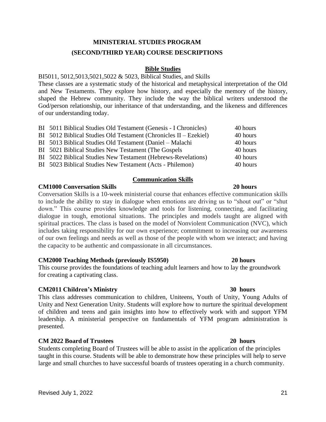### **MINISTERIAL STUDIES PROGRAM (SECOND/THIRD YEAR) COURSE DESCRIPTIONS**

#### **Bible Studies**

BI5011, 5012,5013,5021,5022 & 5023, Biblical Studies, and Skills

These classes are a systematic study of the historical and metaphysical interpretation of the Old and New Testaments. They explore how history, and especially the memory of the history, shaped the Hebrew community. They include the way the biblical writers understood the God/person relationship, our inheritance of that understanding, and the likeness and differences of our understanding today.

| BI 5011 Biblical Studies Old Testament (Genesis - I Chronicles)  | 40 hours |
|------------------------------------------------------------------|----------|
| BI 5012 Biblical Studies Old Testament (Chronicles II – Ezekiel) | 40 hours |
| BI 5013 Biblical Studies Old Testament (Daniel – Malachi         | 40 hours |
| BI 5021 Biblical Studies New Testament (The Gospels              | 40 hours |
| BI 5022 Biblical Studies New Testament (Hebrews-Revelations)     | 40 hours |
| BI 5023 Biblical Studies New Testament (Acts - Philemon)         | 40 hours |

#### **Communication Skills**

#### **CM1000 Conversation Skills 20 hours**

Conversation Skills is a 10-week ministerial course that enhances effective communication skills to include the ability to stay in dialogue when emotions are driving us to "shout out" or "shut down." This course provides knowledge and tools for listening, connecting, and facilitating dialogue in tough, emotional situations. The principles and models taught are aligned with spiritual practices. The class is based on the model of Nonviolent Communication (NVC), which includes taking responsibility for our own experience; commitment to increasing our awareness of our own feelings and needs as well as those of the people with whom we interact; and having the capacity to be authentic and compassionate in all circumstances.

#### **CM2000 Teaching Methods (previously IS5950) 20 hours**

This course provides the foundations of teaching adult learners and how to lay the groundwork for creating a captivating class.

#### **CM2011 Children's Ministry 30 hours**

This class addresses communication to children, Uniteens, Youth of Unity, Young Adults of Unity and Next Generation Unity. Students will explore how to nurture the spiritual development of children and teens and gain insights into how to effectively work with and support YFM leadership. A ministerial perspective on fundamentals of YFM program administration is presented.

#### **CM 2022 Board of Trustees 20 hours**

Students completing Board of Trustees will be able to assist in the application of the principles taught in this course. Students will be able to demonstrate how these principles will help to serve large and small churches to have successful boards of trustees operating in a church community.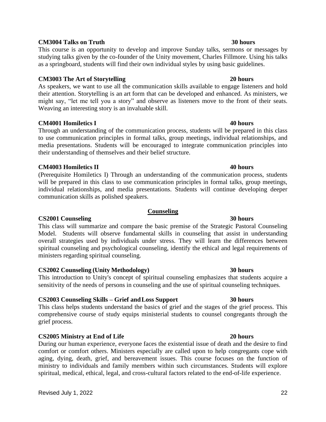## Revised July 1, 2022 22

#### **CM3004 Talks on Truth 30 hours**

This course is an opportunity to develop and improve Sunday talks, sermons or messages by studying talks given by the co-founder of the Unity movement, Charles Fillmore. Using his talks as a springboard, students will find their own individual styles by using basic guidelines.

#### **CM3003 The Art of Storytelling 20 hours**

As speakers, we want to use all the communication skills available to engage listeners and hold their attention. Storytelling is an art form that can be developed and enhanced. As ministers, we might say, "let me tell you a story" and observe as listeners move to the front of their seats. Weaving an interesting story is an invaluable skill.

### **CM4001 Homiletics I 40 hours**

Through an understanding of the communication process, students will be prepared in this class to use communication principles in formal talks, group meetings, individual relationships, and media presentations. Students will be encouraged to integrate communication principles into their understanding of themselves and their belief structure.

#### **CM4003 Homiletics II 40 hours**

(Prerequisite Homiletics I) Through an understanding of the communication process, students will be prepared in this class to use communication principles in formal talks, group meetings, individual relationships, and media presentations. Students will continue developing deeper communication skills as polished speakers.

#### **Counseling**

**CS2001 Counseling 30 hours** This class will summarize and compare the basic premise of the Strategic Pastoral Counseling Model. Students will observe fundamental skills in counseling that assist in understanding overall strategies used by individuals under stress. They will learn the differences between spiritual counseling and psychological counseling, identify the ethical and legal requirements of ministers regarding spiritual counseling.

#### **CS2002 Counseling (Unity Methodology) 30 hours**

This introduction to Unity's concept of spiritual counseling emphasizes that students acquire a sensitivity of the needs of persons in counseling and the use of spiritual counseling techniques.

### **CS2003 Counseling Skills – Grief andLoss Support 30 hours**

This class helps students understand the basics of grief and the stages of the grief process. This comprehensive course of study equips ministerial students to counsel congregants through the grief process.

### **CS2005 Ministry at End of Life 20 hours**

During our human experience, everyone faces the existential issue of death and the desire to find comfort or comfort others. Ministers especially are called upon to help congregants cope with aging, dying, death, grief, and bereavement issues. This course focuses on the function of ministry to individuals and family members within such circumstances. Students will explore spiritual, medical, ethical, legal, and cross-cultural factors related to the end-of-life experience.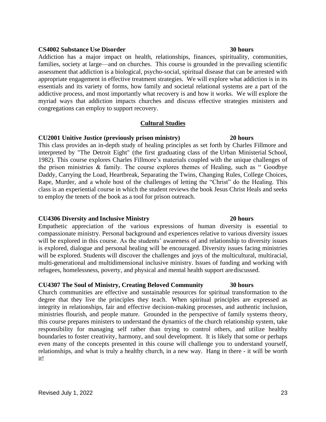#### **CS4002 Substance Use Disorder 30 hours**

Addiction has a major impact on health, relationships, finances, spirituality, communities, families, society at large—and on churches. This course is grounded in the prevailing scientific assessment that addiction is a biological, psycho-social, spiritual disease that can be arrested with appropriate engagement in effective treatment strategies. We will explore what addiction is in its essentials and its variety of forms, how family and societal relational systems are a part of the addictive process, and most importantly what recovery is and how it works. We will explore the myriad ways that addiction impacts churches and discuss effective strategies ministers and congregations can employ to support recovery.

#### **Cultural Studies**

#### **CU2001 Unitive Justice (previously prison ministry) 20 hours**

This class provides an in-depth study of healing principles as set forth by Charles Fillmore and interpreted by "The Detroit Eight" (the first graduating class of the Urban Ministerial School, 1982). This course explores Charles Fillmore's materials coupled with the unique challenges of the prison ministries & family. The course explores themes of Healing, such as " Goodbye Daddy, Carrying the Load, Heartbreak, Separating the Twins, Changing Rules, College Choices, Rape, Murder, and a whole host of the challenges of letting the "Christ" do the Healing. This class is an experiential course in which the student reviews the book Jesus Christ Heals and seeks to employ the tenets of the book as a tool for prison outreach.

#### **CU4306 Diversity and Inclusive Ministry 20 hours**

Empathetic appreciation of the various expressions of human diversity is essential to compassionate ministry. Personal background and experiences relative to various diversity issues will be explored in this course. As the students' awareness of and relationship to diversity issues is explored, dialogue and personal healing will be encouraged. Diversity issues facing ministries will be explored. Students will discover the challenges and joys of the multicultural, multiracial, multi-generational and multidimensional inclusive ministry. Issues of funding and working with refugees, homelessness, poverty, and physical and mental health support arediscussed.

### **CU4307 The Soul of Ministry, Creating Beloved Community 30 hours**

Church communities are effective and sustainable resources for spiritual transformation to the degree that they live the principles they teach. When spiritual principles are expressed as integrity in relationships, fair and effective decision-making processes, and authentic inclusion, ministries flourish, and people mature. Grounded in the perspective of family systems theory, this course prepares ministers to understand the dynamics of the church relationship system, take responsibility for managing self rather than trying to control others, and utilize healthy boundaries to foster creativity, harmony, and soul development. It is likely that some or perhaps even many of the concepts presented in this course will challenge you to understand yourself, relationships, and what is truly a healthy church, in a new way. Hang in there - it will be worth it!

### Revised July 1, 2022 23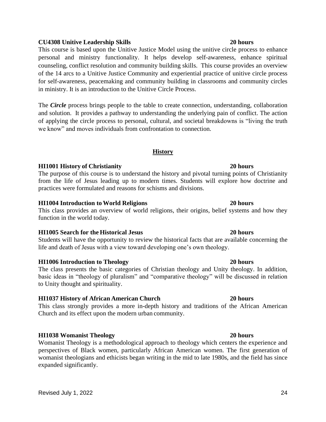#### **CU4308 Unitive Leadership Skills 20 hours**

This course is based upon the Unitive Justice Model using the unitive circle process to enhance personal and ministry functionality. It helps develop self-awareness, enhance spiritual counseling, conflict resolution and community building skills. This course provides an overview of the 14 arcs to a Unitive Justice Community and experiential practice of unitive circle process for self-awareness, peacemaking and community building in classrooms and community circles in ministry. It is an introduction to the Unitive Circle Process.

The *Circle* process brings people to the table to create connection, understanding, collaboration and solution. It provides a pathway to understanding the underlying pain of conflict. The action of applying the circle process to personal, cultural, and societal breakdowns is "living the truth we know" and moves individuals from confrontation to connection.

#### **History**

#### **HI1001 History of Christianity 20 hours**

The purpose of this course is to understand the history and pivotal turning points of Christianity from the life of Jesus leading up to modern times. Students will explore how doctrine and practices were formulated and reasons for schisms and divisions.

#### **HI1004 Introduction to World Religions 20 hours**

This class provides an overview of world religions, their origins, belief systems and how they function in the world today.

#### **HI1005 Search for the Historical Jesus 20 hours**

Students will have the opportunity to review the historical facts that are available concerning the life and death of Jesus with a view toward developing one's own theology.

#### **HI1006 Introduction to Theology 20 hours**

The class presents the basic categories of Christian theology and Unity theology. In addition, basic ideas in "theology of pluralism" and "comparative theology" will be discussed in relation to Unity thought and spirituality.

### **HI1037 History of African American Church 20 hours**

This class strongly provides a more in-depth history and traditions of the African American Church and its effect upon the modern urban community.

### **HI1038 Womanist Theology 20 hours**

Womanist Theology is a methodological approach to theology which centers the experience and perspectives of Black women, particularly African American women. The first generation of womanist theologians and ethicists began writing in the mid to late 1980s, and the field has since expanded significantly.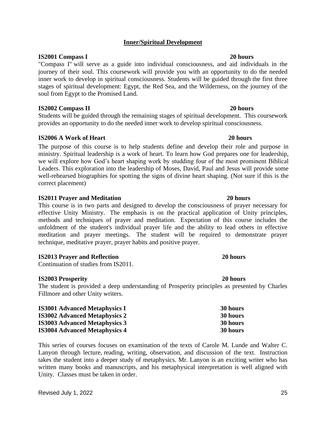# Revised July 1, 2022 25

### **Inner/Spiritual Development**

#### **IS2001 Compass I 20 hours**

"Compass I" will serve as a guide into individual consciousness, and aid individuals in the journey of their soul. This coursework will provide you with an opportunity to do the needed inner work to develop in spiritual consciousness. Students will be guided through the first three stages of spiritual development: Egypt, the Red Sea, and the Wilderness, on the journey of the soul from Egypt to the Promised Land.

#### **IS2002 Compass II 20 hours**

Students will be guided through the remaining stages of spiritual development. This coursework provides an opportunity to do the needed inner work to develop spiritual consciousness.

### **IS2006 A Work of Heart 20 hours**

The purpose of this course is to help students define and develop their role and purpose in ministry. Spiritual leadership is a work of heart. To learn how God prepares one for leadership, we will explore how God's heart shaping work by studding four of the most prominent Biblical Leaders. This exploration into the leadership of Moses, David, Paul and Jesus will provide some well-rehearsed biographies for spotting the signs of divine heart shaping. (Not sure if this is the correct placement)

#### **IS2011 Prayer and Meditation 20 hours**

This course is in two parts and designed to develop the consciousness of prayer necessary for effective Unity Ministry. The emphasis is on the practical application of Unity principles, methods and techniques of prayer and meditation. Expectation of this course includes the unfoldment of the student's individual prayer life and the ability to lead others in effective meditation and prayer meetings. The student will be required to demonstrate prayer technique, meditative prayer, prayer habits and positive prayer.

### **IS2013 Prayer and Reflection 20 hours**

Continuation of studies from IS2011.

### **IS2003 Prosperity 20 hours**

The student is provided a deep understanding of Prosperity principles as presented by Charles Fillmore and other Unity writers.

| <b>IS3001 Advanced Metaphysics I</b> | 30 hours |
|--------------------------------------|----------|
| <b>IS3002 Advanced Metaphysics 2</b> | 30 hours |
| <b>IS3003 Advanced Metaphysics 3</b> | 30 hours |
| <b>IS3004 Advanced Metaphysics 4</b> | 30 hours |

This series of courses focuses on examination of the texts of Carole M. Lunde and Walter C. Lanyon through lecture, reading, writing, observation, and discussion of the text. Instruction takes the student into a deeper study of metaphysics. Mr. Lanyon is an exciting writer who has written many books and manuscripts, and his metaphysical interpretation is well aligned with Unity. Classes must be taken in order.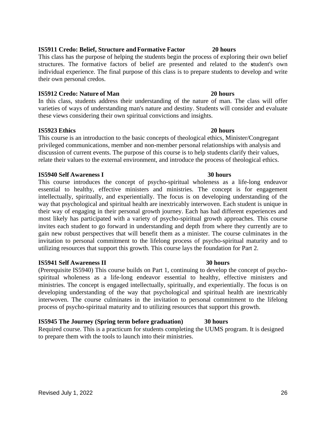#### Revised July 1, 2022 26

#### **IS5911 Credo: Belief, Structure andFormative Factor 20 hours**

This class has the purpose of helping the students begin the process of exploring their own belief structures. The formative factors of belief are presented and related to the **s**tudent's own individual experience. The final purpose of this class is to prepare students to develop and write their own personal credos.

#### **IS5912 Credo: Nature of Man 20 hours**

In this class, students address their understanding of the nature of man. The class will offer varieties of ways of understanding man's nature and destiny. Students will consider and evaluate these views considering their own spiritual convictions and insights.

#### **IS5923 Ethics 20 hours**

This course is an introduction to the basic concepts of theological ethics, Minister/Congregant privileged communications, member and non-member personal relationships with analysis and discussion of current events. The purpose of this course is to help students clarify their values, relate their values to the external environment, and introduce the process of theological ethics.

#### **IS5940 Self Awareness I 30 hours**

This course introduces the concept of psycho-spiritual wholeness as a life-long endeavor essential to healthy, effective ministers and ministries. The concept is for engagement intellectually, spiritually, and experientially. The focus is on developing understanding of the way that psychological and spiritual health are inextricably interwoven. Each student is unique in their way of engaging in their personal growth journey. Each has had different experiences and most likely has participated with a variety of psycho-spiritual growth approaches. This course invites each student to go forward in understanding and depth from where they currently are to gain new robust perspectives that will benefit them as a minister. The course culminates in the invitation to personal commitment to the lifelong process of psycho-spiritual maturity and to utilizing resources that support this growth. This course lays the foundation for Part 2.

#### **IS5941 Self Awareness II 30 hours**

(Prerequisite IS5940) This course builds on Part 1, continuing to develop the concept of psychospiritual wholeness as a life-long endeavor essential to healthy, effective ministers and ministries. The concept is engaged intellectually, spiritually, and experientially. The focus is on developing understanding of the way that psychological and spiritual health are inextricably interwoven. The course culminates in the invitation to personal commitment to the lifelong process of psycho-spiritual maturity and to utilizing resources that support this growth.

### **IS5945 The Journey (Spring term before graduation) 30 hours**

Required course. This is a practicum for students completing the UUMS program. It is designed to prepare them with the tools to launch into their ministries.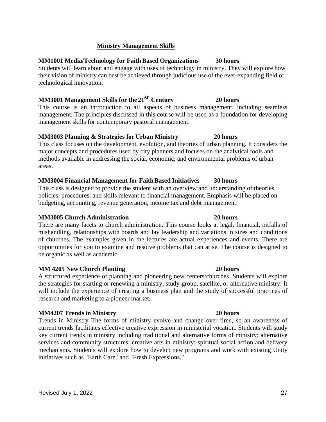initiatives such as "Earth Care" and "Fresh Expressions."

will include the experience of creating a business plan and the study of successful practices of research and marketing to a pioneer market. **MM4207 Trends in Ministry 20 hours** Trends in Ministry The forms of ministry evolve and change over time, so an awareness of

current trends facilitates effective creative expression in ministerial vocation. Students will study key current trends in ministry including traditional and alternative forms of ministry; alternative services and community structures; creative arts in ministry; spiritual social action and delivery mechanisms. Students will explore how to develop new programs and work with existing Unity

be organic as well as academic.

**MM3005 Church Administration 20 hours**

policies, procedures, and skills relevant to financial management. Emphasis will be placed on budgeting, accounting, revenue generation, income tax and debt management.

There are many facets to church administration. This course looks at legal, financial, pitfalls of mishandling, relationships with boards and lay leadership and variations in sizes and conditions of churches. The examples given in the lectures are actual experiences and events. There are opportunities for you to examine and resolve problems that can arise. The course is designed to

**MM 4205 New Church Planting 20 hours**

major concepts and procedures used by city planners and focuses on the analytical tools and methods available in addressing the social, economic, and environmental problems of urban areas. **MM3004 Financial Management for FaithBased Initiatives 30 hours**

This class is designed to provide the student with an overview and understanding of theories,

management. The principles discussed in this course will be used as a foundation for developing

This class focuses on the development, evolution, and theories of urban planning. It considers the

### **MM3001 Management Skills for the 21st Century 20 hours** This course is an introduction to all aspects of business management, including seamless

management skills for contemporary pastoral management.

Students will learn about and engage with uses of technology in ministry. They will explore how their vision of ministry can best be achieved through judicious use of the ever-expanding field of technological innovation.

### **Ministry Management Skills**

**MM1001 Media/Technology for FaithBased Organizations 30 hours**

**MM3003 Planning & Strategies forUrban Ministry 20 hours**

#### A structured experience of planning and pioneering new centers/churches. Students will explore the strategies for starting or renewing a ministry, study-group, satellite, or alternative ministry. It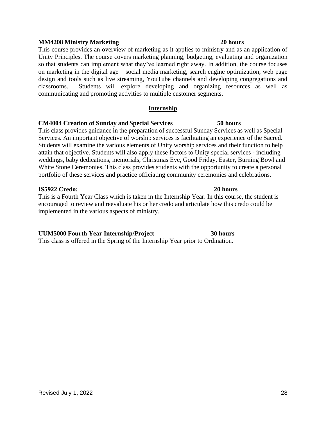#### **MM4208 Ministry Marketing 20 hours**

This course provides an overview of marketing as it applies to ministry and as an application of Unity Principles. The course covers marketing planning, budgeting, evaluating and organization so that students can implement what they've learned right away. In addition, the course focuses on marketing in the digital age – social media marketing, search engine optimization, web page design and tools such as live streaming, YouTube channels and developing congregations and classrooms.Students will explore developing and organizing resources as well as communicating and promoting activities to multiple customer segments.

#### **Internship**

#### **CM4004 Creation of Sunday and Special Services 50 hours**

This class provides guidance in the preparation of successful Sunday Services as well as Special Services. An important objective of worship services is facilitating an experience of the Sacred. Students will examine the various elements of Unity worship services and their function to help attain that objective. Students will also apply these factors to Unity special services - including weddings, baby dedications, memorials, Christmas Eve, Good Friday, Easter, Burning Bowl and White Stone Ceremonies. This class provides students with the opportunity to create a personal portfolio of these services and practice officiating community ceremonies and celebrations.

#### **IS5922 Credo: 20 hours**

This is a Fourth Year Class which is taken in the Internship Year. In this course, the student is encouraged to review and reevaluate his or her credo and articulate how this credo could be implemented in the various aspects of ministry.

#### **UUM5000 Fourth Year Internship/Project 30 hours**

This class is offered in the Spring of the Internship Year prior to Ordination.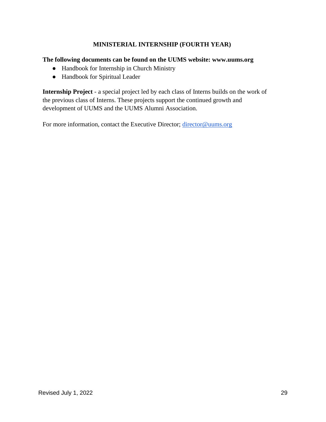### **MINISTERIAL INTERNSHIP (FOURTH YEAR)**

#### **[The following documents can be found on the UUMS website: www.uums.org](http://www.uums.org/)**

- Handbook for Internship in Church Ministry
- Handbook for Spiritual Leader

**Internship Project** - a special project led by each class of Interns builds on the work of the previous class of Interns. These projects support the continued growth and development of UUMS and the UUMS Alumni Association.

For more information, contact the Executive Director; [director@uums.org](mailto:director@uums.org)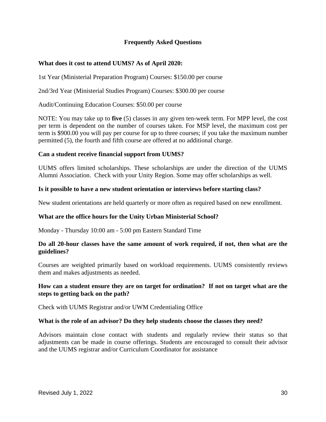#### **Frequently Asked Questions**

#### **What does it cost to attend UUMS? As of April 2020:**

1st Year (Ministerial Preparation Program) Courses: \$150.00 per course

2nd/3rd Year (Ministerial Studies Program) Courses: \$300.00 per course

Audit/Continuing Education Courses: \$50.00 per course

NOTE: You may take up to **five** (5) classes in any given ten-week term. For MPP level, the cost per term is dependent on the number of courses taken. For MSP level, the maximum cost per term is \$900.00 you will pay per course for up to three courses; if you take the maximum number permitted (5), the fourth and fifth course are offered at no additional charge.

#### **Can a student receive financial support from UUMS?**

UUMS offers limited scholarships. These scholarships are under the direction of the UUMS Alumni Association. Check with your Unity Region. Some may offer scholarships as well.

#### **Is it possible to have a new student orientation or interviews before starting class?**

New student orientations are held quarterly or more often as required based on new enrollment.

#### **What are the office hours for the Unity Urban Ministerial School?**

Monday - Thursday 10:00 am - 5:00 pm Eastern Standard Time

#### **Do all 20-hour classes have the same amount of work required, if not, then what are the guidelines?**

Courses are weighted primarily based on workload requirements. UUMS consistently reviews them and makes adjustments as needed.

#### **How can a student ensure they are on target for ordination? If not on target what are the steps to getting back on the path?**

Check with UUMS Registrar and/or UWM Credentialing Office

#### **What is the role of an advisor? Do they help students choose the classes they need?**

Advisors maintain close contact with students and regularly review their status so that adjustments can be made in course offerings. Students are encouraged to consult their advisor and the UUMS registrar and/or Curriculum Coordinator for assistance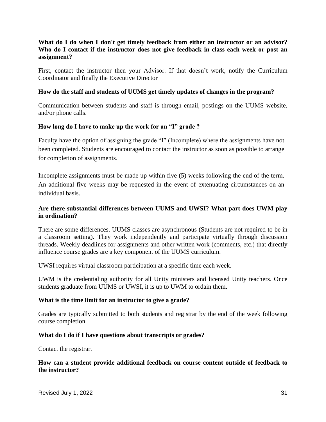#### **What do I do when I don't get timely feedback from either an instructor or an advisor? Who do I contact if the instructor does not give feedback in class each week or post an assignment?**

First, contact the instructor then your Advisor. If that doesn't work, notify the Curriculum Coordinator and finally the Executive Director

#### **How do the staff and students of UUMS get timely updates of changes in the program?**

Communication between students and staff is through email, postings on the UUMS website, and/or phone calls.

#### **How long do I have to make up the work for an "I" grade ?**

Faculty have the option of assigning the grade "I" (Incomplete) where the assignments have not been completed. Students are encouraged to contact the instructor as soon as possible to arrange for completion of assignments.

Incomplete assignments must be made up within five (5) weeks following the end of the term. An additional five weeks may be requested in the event of extenuating circumstances on an individual basis.

### **Are there substantial differences between UUMS and UWSI? What part does UWM play in ordination?**

There are some differences. UUMS classes are asynchronous (Students are not required to be in a classroom setting). They work independently and participate virtually through discussion threads. Weekly deadlines for assignments and other written work (comments, etc.) that directly influence course grades are a key component of the UUMS curriculum.

UWSI requires virtual classroom participation at a specific time each week.

UWM is the credentialing authority for all Unity ministers and licensed Unity teachers. Once students graduate from UUMS or UWSI, it is up to UWM to ordain them.

#### **What is the time limit for an instructor to give a grade?**

Grades are typically submitted to both students and registrar by the end of the week following course completion.

#### **What do I do if I have questions about transcripts or grades?**

Contact the registrar.

#### **How can a student provide additional feedback on course content outside of feedback to the instructor?**